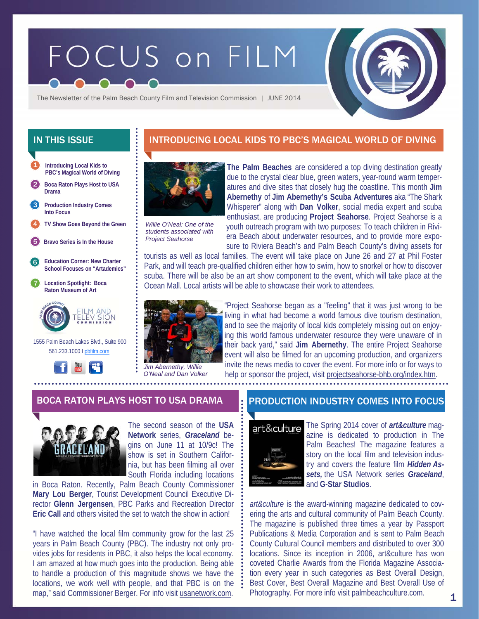# FOCUS on FILM



The Newsletter of the Palm Beach County Film and Television Commission | JUNE 2014

- **Introducing Local Kids to PBC's Magical World of Diving**  1
- 2 **Boca Raton Plays Host to USA Drama**
- **Production Industry Comes Into Focus**  3
- 4 **TV Show Goes Beyond the Green** *Willie O'Neal: One of the*
- 5 **Bravo Series is In the House**
- 6 **Education Corner: New Charter School Focuses on "Artademics"**
- 7 **Location Spotlight: Boca Raton Museum of Art**



 1555 Palm Beach Lakes Blvd., Suite 900 561.233.1000 I pbfilm.com



# IN THIS ISSUE **INTRODUCING LOCAL KIDS TO PBC'S MAGICAL WORLD OF DIVING**



*students associated with Project Seahorse* 

**The Palm Beaches** are considered a top diving destination greatly due to the crystal clear blue, green waters, year-round warm temperatures and dive sites that closely hug the coastline. This month **Jim Abernethy** of **Jim Abernethy's Scuba Adventures** aka "The Shark Whisperer" along with **Dan Volker**, social media expert and scuba enthusiast, are producing **Project Seahorse**. Project Seahorse is a youth outreach program with two purposes: To teach children in Riviera Beach about underwater resources, and to provide more exposure to Riviera Beach's and Palm Beach County's diving assets for

tourists as well as local families. The event will take place on June 26 and 27 at Phil Foster Park, and will teach pre-qualified children either how to swim, how to snorkel or how to discover scuba. There will be also be an art show component to the event, which will take place at the Ocean Mall. Local artists will be able to showcase their work to attendees.



"Project Seahorse began as a "feeling" that it was just wrong to be living in what had become a world famous dive tourism destination, and to see the majority of local kids completely missing out on enjoying this world famous underwater resource they were unaware of in their back yard," said **Jim Abernethy**. The entire Project Seahorse event will also be filmed for an upcoming production, and organizers invite the news media to cover the event. For more info or for ways to help or sponsor the project, visit projectseahorse-bhb.org/index.htm.



The second season of the **USA Network** series, *Graceland* begins on June 11 at 10/9c! The show is set in Southern California, but has been filming all over South Florida including locations

in Boca Raton. Recently, Palm Beach County Commissioner **Mary Lou Berger**, Tourist Development Council Executive Director **Glenn Jergensen**, PBC Parks and Recreation Director **Eric Call and others visited the set to watch the show in action!** 

"I have watched the local film community grow for the last 25 years in Palm Beach County (PBC). The industry not only provides jobs for residents in PBC, it also helps the local economy. I am amazed at how much goes into the production. Being able to handle a production of this magnitude shows we have the locations, we work well with people, and that PBC is on the map," said Commissioner Berger. For info visit usanetwork.com.

# BOCA RATON PLAYS HOST TO USA DRAMA PRODUCTION INDUSTRY COMES INTO FOCUS



The Spring 2014 cover of *art&culture* magazine is dedicated to production in The Palm Beaches! The magazine features a story on the local film and television industry and covers the feature film *Hidden Assets,* the USA Network series *Graceland*, and **G-Star Studios**.

*art&culture* is the award-winning magazine dedicated to covering the arts and cultural community of Palm Beach County. The magazine is published three times a year by Passport Publications & Media Corporation and is sent to Palm Beach County Cultural Council members and distributed to over 300 locations. Since its inception in 2006, art&culture has won coveted Charlie Awards from the Florida Magazine Association every year in such categories as Best Overall Design, Best Cover, Best Overall Magazine and Best Overall Use of Photography. For more info visit palmbeachculture.com.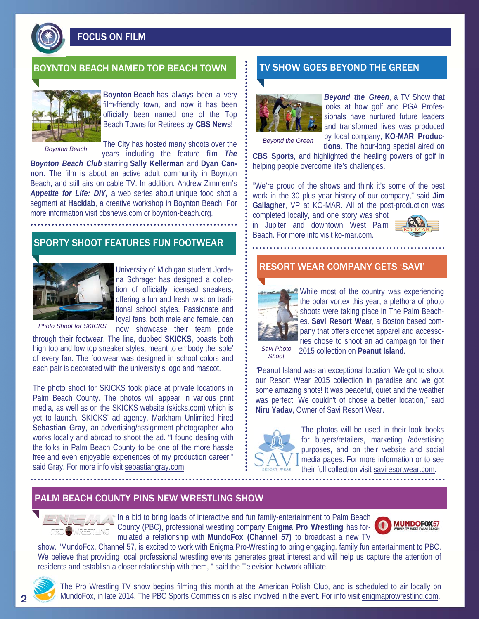

FOCUS ON FILM

# BOYNTON BEACH NAMED TOP BEACH TOWN **THE TV SHOW GOES BEYOND THE GREEN**



**Boynton Beach** has always been a very film-friendly town, and now it has been officially been named one of the Top Beach Towns for Retirees by **CBS News**!

*Boynton Beach* 

The City has hosted many shoots over the years including the feature film *The* 

*Boynton Beach Club* starring **Sally Kellerman** and **Dyan Cannon**. The film is about an active adult community in Boynton Beach, and still airs on cable TV. In addition, Andrew Zimmern's *Appetite for Life: DIY,* a web series about unique food shot a segment at **Hacklab**, a creative workshop in Boynton Beach. For more information visit cbsnews.com or boynton-beach.org.

# SPORTY SHOOT FEATURES FUN FOOTWEAR



University of Michigan student Jordana Schrager has designed a collection of officially licensed sneakers, offering a fun and fresh twist on traditional school styles. Passionate and loyal fans, both male and female, can now showcase their team pride

*Photo Shoot for SKICKS* 

through their footwear. The line, dubbed **SKICKS**, boasts both high top and low top sneaker styles, meant to embody the 'sole' of every fan. The footwear was designed in school colors and each pair is decorated with the university's logo and mascot.

The photo shoot for SKICKS took place at private locations in Palm Beach County. The photos will appear in various print media, as well as on the SKICKS website (skicks.com) which is yet to launch. SKICKS' ad agency, Markham Unlimited hired **Sebastian Gray**, an advertising/assignment photographer who works locally and abroad to shoot the ad. "I found dealing with the folks in Palm Beach County to be one of the more hassle free and even enjoyable experiences of my production career," said Gray. For more info visit sebastiangray.com.



*Beyond the Green*, a TV Show that looks at how golf and PGA Professionals have nurtured future leaders and transformed lives was produced by local company, **KO-MAR Produc-**

*Beyond the Green*

**tions**. The hour-long special aired on **CBS Sports**, and highlighted the healing powers of golf in helping people overcome life's challenges.

"We're proud of the shows and think it's some of the best work in the 30 plus year history of our company," said **Jim Gallagher**, VP at KO-MAR. All of the post-production was

completed locally, and one story was shot in Jupiter and downtown West Palm Beach. For more info visit ko-mar.com.



## RESORT WEAR COMPANY GETS 'SAVI'



While most of the country was experiencing the polar vortex this year, a plethora of photo shoots were taking place in The Palm Beaches. **Savi Resort Wear**, a Boston based company that offers crochet apparel and accessories chose to shoot an ad campaign for their

*Savi Photo Shoot* 

2015 collection on **Peanut Island**.

"Peanut Island was an exceptional location. We got to shoot our Resort Wear 2015 collection in paradise and we got some amazing shots! It was peaceful, quiet and the weather was perfect! We couldn't of chose a better location," said **Niru Yadav**, Owner of Savi Resort Wear.



The photos will be used in their look books for buyers/retailers, marketing /advertising purposes, and on their website and social media pages. For more information or to see their full collection visit saviresortwear.com.

## PALM BEACH COUNTY PINS NEW WRESTLING SHOW

In a bid to bring loads of interactive and fun family-entertainment to Palm Beach County (PBC), professional wrestling company **Enigma Pro Wrestling** has formulated a relationship with **MundoFox (Channel 57)** to broadcast a new TV



show. "MundoFox, Channel 57, is excited to work with Enigma Pro-Wrestling to bring engaging, family fun entertainment to PBC. We believe that providing local professional wrestling events generates great interest and will help us capture the attention of residents and establish a closer relationship with them, " said the Television Network affiliate.



The Pro Wrestling TV show begins filming this month at the American Polish Club, and is scheduled to air locally on MundoFox, in late 2014. The PBC Sports Commission is also involved in the event. For info visit enigmaprowrestling.com.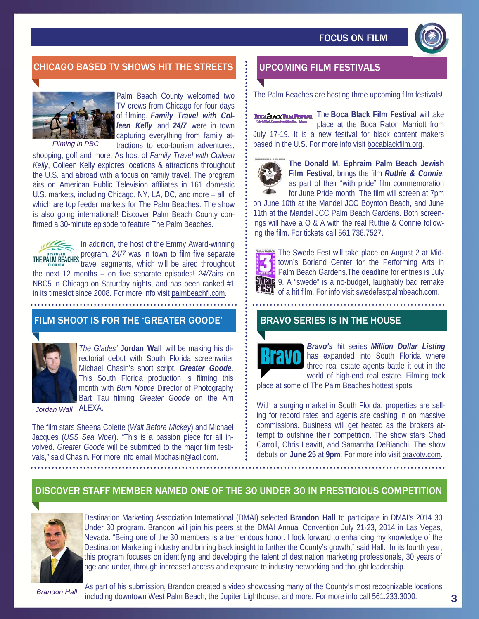

# CHICAGO BASED TV SHOWS HIT THE STREETS **FOOD BESTIVALS**



Palm Beach County welcomed two TV crews from Chicago for four days of filming. *Family Travel with Colleen Kelly* and *24/7* were in town capturing everything from family attractions to eco-tourism adventures,

*Filming in PBC* 

shopping, golf and more. As host of *Family Travel with Colleen Kelly*, Colleen Kelly explores locations & attractions throughout the U.S. and abroad with a focus on family travel. The program airs on American Public Television affiliates in 161 domestic U.S. markets, including Chicago, NY, LA, DC, and more – all of which are top feeder markets for The Palm Beaches. The show is also going international! Discover Palm Beach County confirmed a 30-minute episode to feature The Palm Beaches.

In addition, the host of the Emmy Award-winning program, *24/7* was in town to film five separate travel segments, which will be aired throughout the next 12 months – on five separate episodes! *24/7*airs on NBC5 in Chicago on Saturday nights, and has been ranked #1 in its timeslot since 2008. For more info visit palmbeachfl.com.

## FILM SHOOT IS FOR THE 'GREATER GOODE'



*The Glades'* **Jordan Wall** will be making his directorial debut with South Florida screenwriter Michael Chasin's short script, *Greater Goode*. This South Florida production is filming this month with *Burn Notice* Director of Photography Bart Tau filming *Greater Goode* on the Arri

ALEXA. *Jordan Wall* 

The film stars Sheena Colette (*Walt Before Mickey*) and Michael Jacques (*USS Sea Viper*). "This is a passion piece for all involved. *Greater Goode* will be submitted to the major film festivals," said Chasin. For more info email Mbchasin@aol.com.

The Palm Beaches are hosting three upcoming film festivals!

**Boca BLACK FILM FESTIVAL** The Boca Black Film Festival will take place at the Boca Raton Marriott from July 17-19. It is a new festival for black content makers based in the U.S. For more info visit bocablackfilm.org.



**The Donald M. Ephraim Palm Beach Jewish Film Festival**, brings the film *Ruthie & Connie,*  as part of their "with pride" film commemoration for June Pride month. The film will screen at 7pm

on June 10th at the Mandel JCC Boynton Beach, and June 11th at the Mandel JCC Palm Beach Gardens. Both screenings will have a Q & A with the real Ruthie & Connie following the film. For tickets call 561.736.7527.



The Swede Fest will take place on August 2 at Midtown's Borland Center for the Performing Arts in **Palm Beach Gardens. The deadline for entries is July SWEDE** 9. A "swede" is a no-budget, laughably bad remake FEST of a hit film. For info visit swedefestpalmbeach.com.

## BRAVO SERIES IS IN THE HOUSE



*Bravo's* hit series *Million Dollar Listing*  has expanded into South Florida where three real estate agents battle it out in the world of high-end real estate. Filming took

place at some of The Palm Beaches hottest spots!

With a surging market in South Florida, properties are selling for record rates and agents are cashing in on massive commissions. Business will get heated as the brokers attempt to outshine their competition. The show stars Chad Carroll, Chris Leavitt, and Samantha DeBianchi. The show debuts on **June 25** at **9pm**. For more info visit bravotv.com.

# DISCOVER STAFF MEMBER NAMED ONE OF THE 30 UNDER 30 IN PRESTIGIOUS COMPETITION



Destination Marketing Association International (DMAI) selected **Brandon Hall** to participate in DMAI's 2014 30 Under 30 program. Brandon will join his peers at the DMAI Annual Convention July 21-23, 2014 in Las Vegas, Nevada. "Being one of the 30 members is a tremendous honor. I look forward to enhancing my knowledge of the Destination Marketing industry and brining back insight to further the County's growth," said Hall. In its fourth year, this program focuses on identifying and developing the talent of destination marketing professionals, 30 years of age and under, through increased access and exposure to industry networking and thought leadership.

*Brandon Hall* 

As part of his submission, Brandon created a video showcasing many of the County's most recognizable locations including downtown West Palm Beach, the Jupiter Lighthouse, and more. For more info call 561.233.3000.